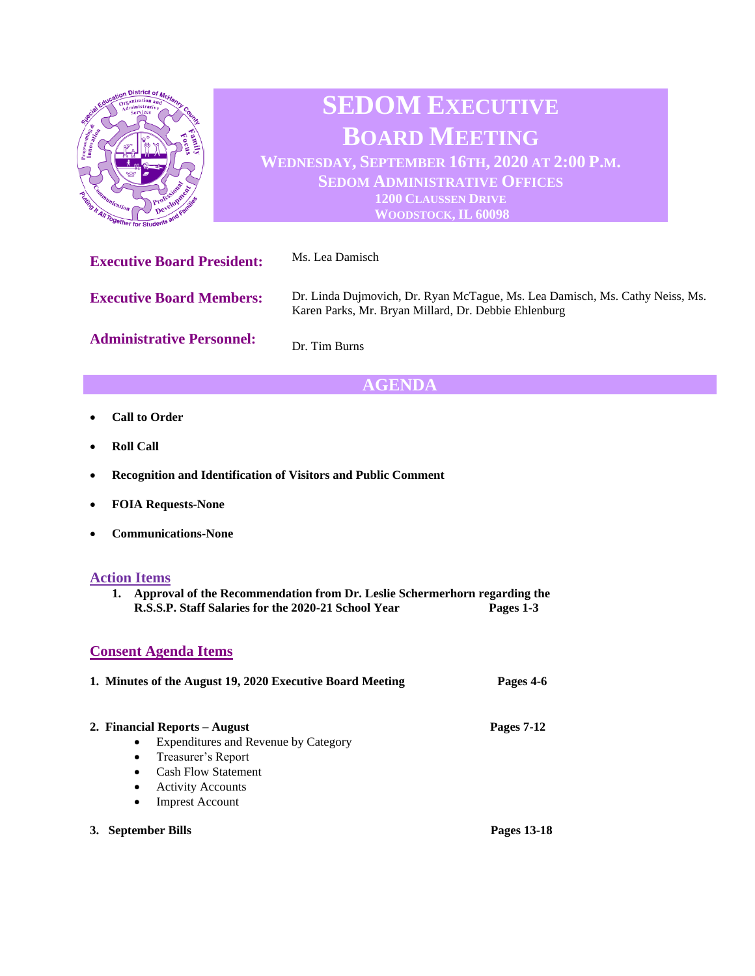

# **AGENDA**

- **Call to Order**
- **Roll Call**
- **Recognition and Identification of Visitors and Public Comment**
- **FOIA Requests-None**
- **Communications-None**

#### **Action Items**

**1. Approval of the Recommendation from Dr. Leslie Schermerhorn regarding the R.S.S.P. Staff Salaries for the 2020-21 School Year Pages 1-3**

### **Consent Agenda Items**

### **1. Minutes of the August 19, 2020 Executive Board Meeting Pages 4-6**

| 2. Financial Reports – August | <b>Pages 7-12</b> |
|-------------------------------|-------------------|
|                               |                   |

- Expenditures and Revenue by Category
- Treasurer's Report
- Cash Flow Statement
- Activity Accounts
- Imprest Account
- **3. September Bills Pages 13-18**